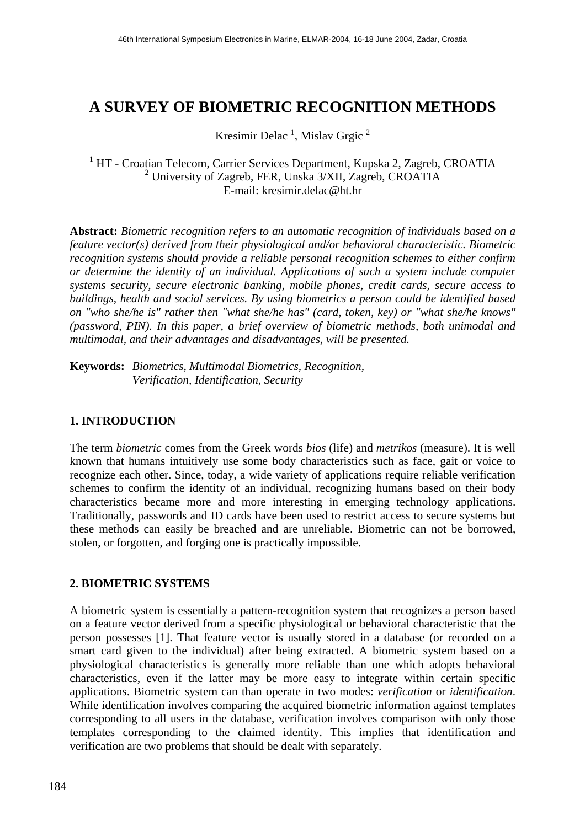# **A SURVEY OF BIOMETRIC RECOGNITION METHODS**

Kresimir Delac<sup>1</sup>, Mislav Grgic<sup>2</sup>

<sup>1</sup> HT - Croatian Telecom, Carrier Services Department, Kupska 2, Zagreb, CROATIA 2 University of Zagreb, FER, Unska 3/XII, Zagreb, CROATIA E-mail: kresimir.delac@ht.hr

**Abstract:** *Biometric recognition refers to an automatic recognition of individuals based on a feature vector(s) derived from their physiological and/or behavioral characteristic. Biometric recognition systems should provide a reliable personal recognition schemes to either confirm or determine the identity of an individual. Applications of such a system include computer systems security, secure electronic banking, mobile phones, credit cards, secure access to buildings, health and social services. By using biometrics a person could be identified based on "who she/he is" rather then "what she/he has" (card, token, key) or "what she/he knows" (password, PIN). In this paper, a brief overview of biometric methods, both unimodal and multimodal, and their advantages and disadvantages, will be presented.*

**Keywords:** *Biometrics, Multimodal Biometrics, Recognition, Verification, Identification, Security* 

#### **1. INTRODUCTION**

The term *biometric* comes from the Greek words *bios* (life) and *metrikos* (measure). It is well known that humans intuitively use some body characteristics such as face, gait or voice to recognize each other. Since, today, a wide variety of applications require reliable verification schemes to confirm the identity of an individual, recognizing humans based on their body characteristics became more and more interesting in emerging technology applications. Traditionally, passwords and ID cards have been used to restrict access to secure systems but these methods can easily be breached and are unreliable. Biometric can not be borrowed, stolen, or forgotten, and forging one is practically impossible.

## **2. BIOMETRIC SYSTEMS**

A biometric system is essentially a pattern-recognition system that recognizes a person based on a feature vector derived from a specific physiological or behavioral characteristic that the person possesses [1]. That feature vector is usually stored in a database (or recorded on a smart card given to the individual) after being extracted. A biometric system based on a physiological characteristics is generally more reliable than one which adopts behavioral characteristics, even if the latter may be more easy to integrate within certain specific applications. Biometric system can than operate in two modes: *verification* or *identification*. While identification involves comparing the acquired biometric information against templates corresponding to all users in the database, verification involves comparison with only those templates corresponding to the claimed identity. This implies that identification and verification are two problems that should be dealt with separately.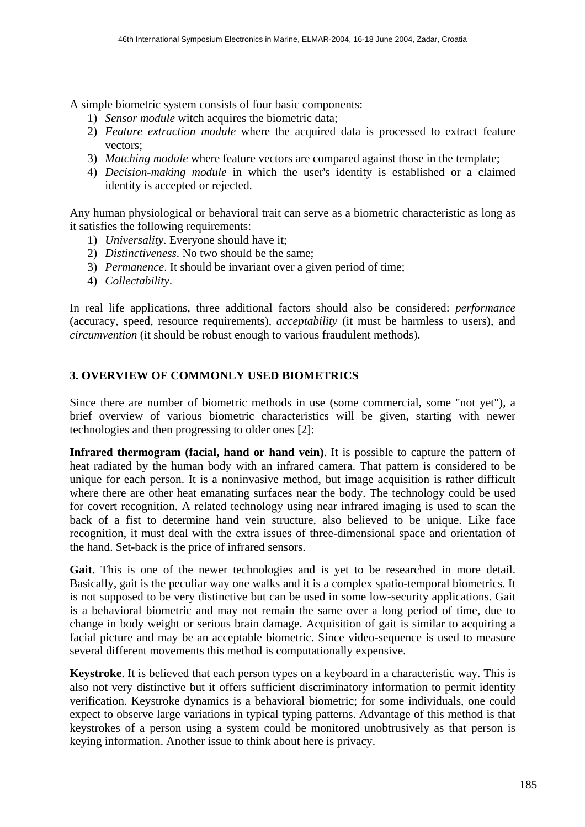A simple biometric system consists of four basic components:

- 1) *Sensor module* witch acquires the biometric data;
- 2) *Feature extraction module* where the acquired data is processed to extract feature vectors;
- 3) *Matching module* where feature vectors are compared against those in the template;
- 4) *Decision-making module* in which the user's identity is established or a claimed identity is accepted or rejected.

Any human physiological or behavioral trait can serve as a biometric characteristic as long as it satisfies the following requirements:

- 1) *Universality*. Everyone should have it;
- 2) *Distinctiveness*. No two should be the same;
- 3) *Permanence*. It should be invariant over a given period of time;
- 4) *Collectability*.

In real life applications, three additional factors should also be considered: *performance*  (accuracy, speed, resource requirements), *acceptability* (it must be harmless to users), and *circumvention* (it should be robust enough to various fraudulent methods).

## **3. OVERVIEW OF COMMONLY USED BIOMETRICS**

Since there are number of biometric methods in use (some commercial, some "not yet"), a brief overview of various biometric characteristics will be given, starting with newer technologies and then progressing to older ones [2]:

**Infrared thermogram (facial, hand or hand vein)**. It is possible to capture the pattern of heat radiated by the human body with an infrared camera. That pattern is considered to be unique for each person. It is a noninvasive method, but image acquisition is rather difficult where there are other heat emanating surfaces near the body. The technology could be used for covert recognition. A related technology using near infrared imaging is used to scan the back of a fist to determine hand vein structure, also believed to be unique. Like face recognition, it must deal with the extra issues of three-dimensional space and orientation of the hand. Set-back is the price of infrared sensors.

**Gait**. This is one of the newer technologies and is yet to be researched in more detail. Basically, gait is the peculiar way one walks and it is a complex spatio-temporal biometrics. It is not supposed to be very distinctive but can be used in some low-security applications. Gait is a behavioral biometric and may not remain the same over a long period of time, due to change in body weight or serious brain damage. Acquisition of gait is similar to acquiring a facial picture and may be an acceptable biometric. Since video-sequence is used to measure several different movements this method is computationally expensive.

**Keystroke**. It is believed that each person types on a keyboard in a characteristic way. This is also not very distinctive but it offers sufficient discriminatory information to permit identity verification. Keystroke dynamics is a behavioral biometric; for some individuals, one could expect to observe large variations in typical typing patterns. Advantage of this method is that keystrokes of a person using a system could be monitored unobtrusively as that person is keying information. Another issue to think about here is privacy.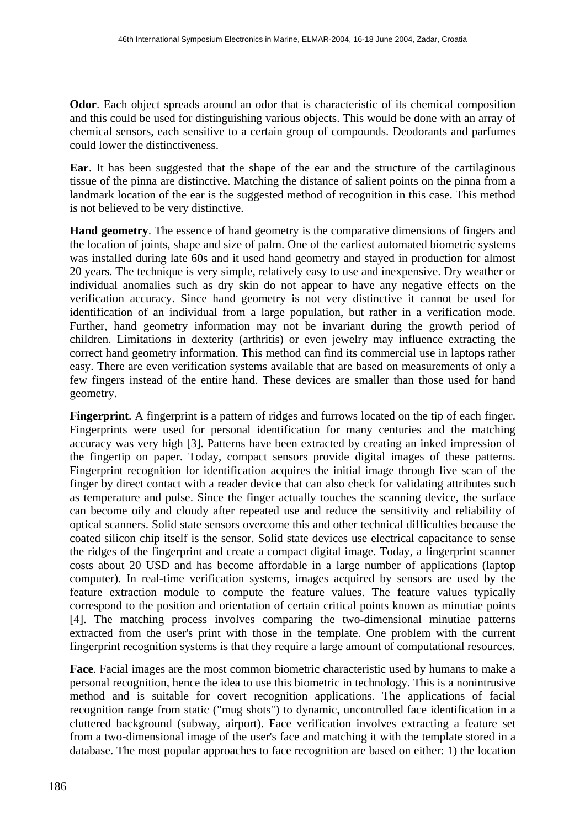**Odor**. Each object spreads around an odor that is characteristic of its chemical composition and this could be used for distinguishing various objects. This would be done with an array of chemical sensors, each sensitive to a certain group of compounds. Deodorants and parfumes could lower the distinctiveness.

**Ear**. It has been suggested that the shape of the ear and the structure of the cartilaginous tissue of the pinna are distinctive. Matching the distance of salient points on the pinna from a landmark location of the ear is the suggested method of recognition in this case. This method is not believed to be very distinctive.

**Hand geometry**. The essence of hand geometry is the comparative dimensions of fingers and the location of joints, shape and size of palm. One of the earliest automated biometric systems was installed during late 60s and it used hand geometry and stayed in production for almost 20 years. The technique is very simple, relatively easy to use and inexpensive. Dry weather or individual anomalies such as dry skin do not appear to have any negative effects on the verification accuracy. Since hand geometry is not very distinctive it cannot be used for identification of an individual from a large population, but rather in a verification mode. Further, hand geometry information may not be invariant during the growth period of children. Limitations in dexterity (arthritis) or even jewelry may influence extracting the correct hand geometry information. This method can find its commercial use in laptops rather easy. There are even verification systems available that are based on measurements of only a few fingers instead of the entire hand. These devices are smaller than those used for hand geometry.

**Fingerprint**. A fingerprint is a pattern of ridges and furrows located on the tip of each finger. Fingerprints were used for personal identification for many centuries and the matching accuracy was very high [3]. Patterns have been extracted by creating an inked impression of the fingertip on paper. Today, compact sensors provide digital images of these patterns. Fingerprint recognition for identification acquires the initial image through live scan of the finger by direct contact with a reader device that can also check for validating attributes such as temperature and pulse. Since the finger actually touches the scanning device, the surface can become oily and cloudy after repeated use and reduce the sensitivity and reliability of optical scanners. Solid state sensors overcome this and other technical difficulties because the coated silicon chip itself is the sensor. Solid state devices use electrical capacitance to sense the ridges of the fingerprint and create a compact digital image. Today, a fingerprint scanner costs about 20 USD and has become affordable in a large number of applications (laptop computer). In real-time verification systems, images acquired by sensors are used by the feature extraction module to compute the feature values. The feature values typically correspond to the position and orientation of certain critical points known as minutiae points [4]. The matching process involves comparing the two-dimensional minutiae patterns extracted from the user's print with those in the template. One problem with the current fingerprint recognition systems is that they require a large amount of computational resources.

**Face**. Facial images are the most common biometric characteristic used by humans to make a personal recognition, hence the idea to use this biometric in technology. This is a nonintrusive method and is suitable for covert recognition applications. The applications of facial recognition range from static ("mug shots") to dynamic, uncontrolled face identification in a cluttered background (subway, airport). Face verification involves extracting a feature set from a two-dimensional image of the user's face and matching it with the template stored in a database. The most popular approaches to face recognition are based on either: 1) the location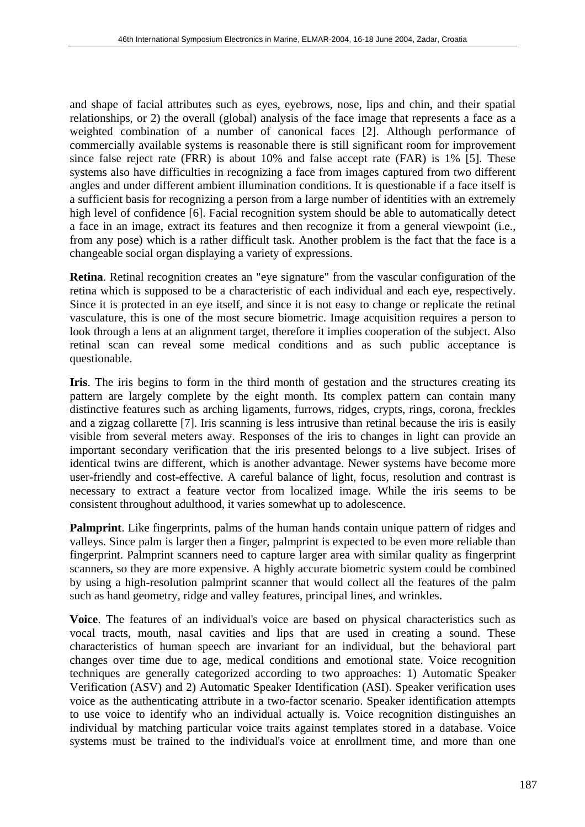and shape of facial attributes such as eyes, eyebrows, nose, lips and chin, and their spatial relationships, or 2) the overall (global) analysis of the face image that represents a face as a weighted combination of a number of canonical faces [2]. Although performance of commercially available systems is reasonable there is still significant room for improvement since false reject rate (FRR) is about 10% and false accept rate (FAR) is 1% [5]. These systems also have difficulties in recognizing a face from images captured from two different angles and under different ambient illumination conditions. It is questionable if a face itself is a sufficient basis for recognizing a person from a large number of identities with an extremely high level of confidence [6]. Facial recognition system should be able to automatically detect a face in an image, extract its features and then recognize it from a general viewpoint (i.e., from any pose) which is a rather difficult task. Another problem is the fact that the face is a changeable social organ displaying a variety of expressions.

**Retina**. Retinal recognition creates an "eye signature" from the vascular configuration of the retina which is supposed to be a characteristic of each individual and each eye, respectively. Since it is protected in an eye itself, and since it is not easy to change or replicate the retinal vasculature, this is one of the most secure biometric. Image acquisition requires a person to look through a lens at an alignment target, therefore it implies cooperation of the subject. Also retinal scan can reveal some medical conditions and as such public acceptance is questionable.

**Iris**. The iris begins to form in the third month of gestation and the structures creating its pattern are largely complete by the eight month. Its complex pattern can contain many distinctive features such as arching ligaments, furrows, ridges, crypts, rings, corona, freckles and a zigzag collarette [7]. Iris scanning is less intrusive than retinal because the iris is easily visible from several meters away. Responses of the iris to changes in light can provide an important secondary verification that the iris presented belongs to a live subject. Irises of identical twins are different, which is another advantage. Newer systems have become more user-friendly and cost-effective. A careful balance of light, focus, resolution and contrast is necessary to extract a feature vector from localized image. While the iris seems to be consistent throughout adulthood, it varies somewhat up to adolescence.

**Palmprint**. Like fingerprints, palms of the human hands contain unique pattern of ridges and valleys. Since palm is larger then a finger, palmprint is expected to be even more reliable than fingerprint. Palmprint scanners need to capture larger area with similar quality as fingerprint scanners, so they are more expensive. A highly accurate biometric system could be combined by using a high-resolution palmprint scanner that would collect all the features of the palm such as hand geometry, ridge and valley features, principal lines, and wrinkles.

**Voice**. The features of an individual's voice are based on physical characteristics such as vocal tracts, mouth, nasal cavities and lips that are used in creating a sound. These characteristics of human speech are invariant for an individual, but the behavioral part changes over time due to age, medical conditions and emotional state. Voice recognition techniques are generally categorized according to two approaches: 1) Automatic Speaker Verification (ASV) and 2) Automatic Speaker Identification (ASI). Speaker verification uses voice as the authenticating attribute in a two-factor scenario. Speaker identification attempts to use voice to identify who an individual actually is. Voice recognition distinguishes an individual by matching particular voice traits against templates stored in a database. Voice systems must be trained to the individual's voice at enrollment time, and more than one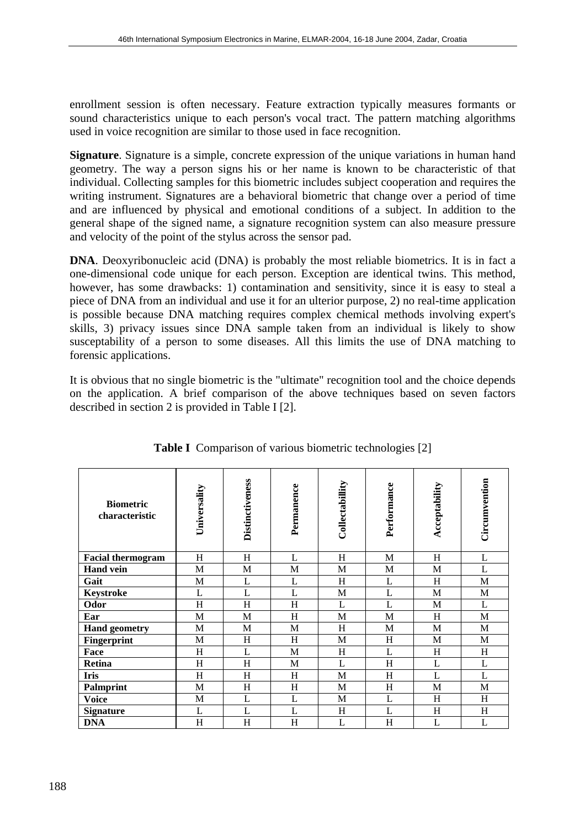enrollment session is often necessary. Feature extraction typically measures formants or sound characteristics unique to each person's vocal tract. The pattern matching algorithms used in voice recognition are similar to those used in face recognition.

**Signature**. Signature is a simple, concrete expression of the unique variations in human hand geometry. The way a person signs his or her name is known to be characteristic of that individual. Collecting samples for this biometric includes subject cooperation and requires the writing instrument. Signatures are a behavioral biometric that change over a period of time and are influenced by physical and emotional conditions of a subject. In addition to the general shape of the signed name, a signature recognition system can also measure pressure and velocity of the point of the stylus across the sensor pad.

**DNA**. Deoxyribonucleic acid (DNA) is probably the most reliable biometrics. It is in fact a one-dimensional code unique for each person. Exception are identical twins. This method, however, has some drawbacks: 1) contamination and sensitivity, since it is easy to steal a piece of DNA from an individual and use it for an ulterior purpose, 2) no real-time application is possible because DNA matching requires complex chemical methods involving expert's skills, 3) privacy issues since DNA sample taken from an individual is likely to show susceptability of a person to some diseases. All this limits the use of DNA matching to forensic applications.

It is obvious that no single biometric is the "ultimate" recognition tool and the choice depends on the application. A brief comparison of the above techniques based on seven factors described in section 2 is provided in Table I [2].

| <b>Biometric</b><br>characteristic | Universality | Distinctiveness | Permanence   | Collectabillity | Performance | Acceptability | Circumvention |
|------------------------------------|--------------|-----------------|--------------|-----------------|-------------|---------------|---------------|
| <b>Facial thermogram</b>           | H            | H               | L            | H               | M           | H             | L             |
| <b>Hand vein</b>                   | M            | M               | M            | M               | M           | M             | L             |
| Gait                               | M            | L               | L            | H               | L           | H             | M             |
| Keystroke                          | L            | L               | L            | M               | L           | M             | $\mathbf{M}$  |
| Odor                               | H            | H               | H            | L               | L           | M             | L             |
| Ear                                | M            | $\mathbf M$     | H            | M               | M           | H             | $\mathbf{M}$  |
| <b>Hand geometry</b>               | M            | M               | M            | H               | M           | M             | M             |
| Fingerprint                        | M            | H               | H            | M               | H           | M             | M             |
| Face                               | H            | L               | $\mathbf M$  | H               | L           | H             | H             |
| Retina                             | H            | H               | M            | L               | H           | L             | L             |
| Iris                               | H            | H               | H            | M               | H           | L             | L             |
| <b>Palmprint</b>                   | M            | H               | H            | M               | H           | M             | M             |
| <b>Voice</b>                       | M            | L               | L            | M               | L           | H             | H             |
| <b>Signature</b>                   | L            | L               | $\mathbf{L}$ | H               | L           | H             | H             |
| <b>DNA</b>                         | H            | H               | H            | L               | H           | L             | L             |

**Table I** Comparison of various biometric technologies [2]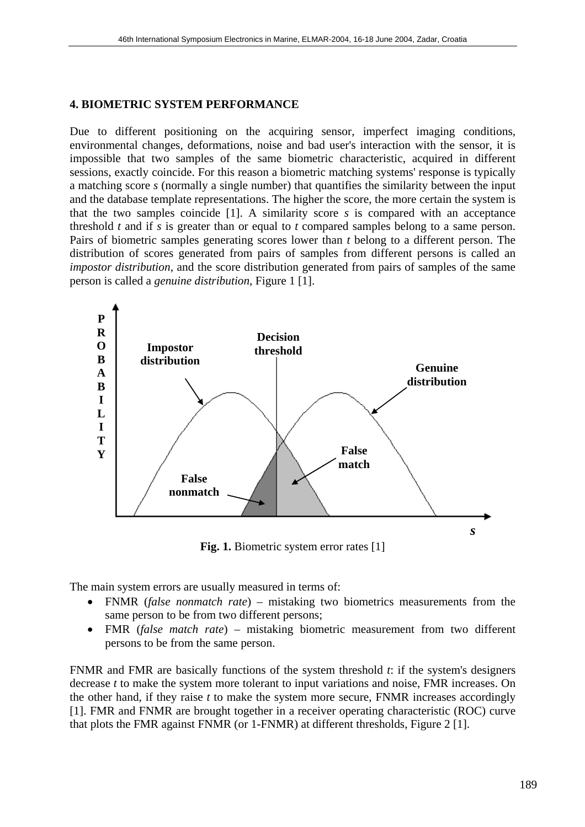#### **4. BIOMETRIC SYSTEM PERFORMANCE**

Due to different positioning on the acquiring sensor, imperfect imaging conditions, environmental changes, deformations, noise and bad user's interaction with the sensor, it is impossible that two samples of the same biometric characteristic, acquired in different sessions, exactly coincide. For this reason a biometric matching systems' response is typically a matching score *s* (normally a single number) that quantifies the similarity between the input and the database template representations. The higher the score, the more certain the system is that the two samples coincide [1]. A similarity score *s* is compared with an acceptance threshold *t* and if *s* is greater than or equal to *t* compared samples belong to a same person. Pairs of biometric samples generating scores lower than *t* belong to a different person. The distribution of scores generated from pairs of samples from different persons is called an *impostor distribution*, and the score distribution generated from pairs of samples of the same person is called a *genuine distribution*, Figure 1 [1].



Fig. 1. Biometric system error rates [1]

The main system errors are usually measured in terms of:

- FNMR (*false nonmatch rate*) mistaking two biometrics measurements from the same person to be from two different persons;
- FMR (*false match rate*) mistaking biometric measurement from two different persons to be from the same person.

FNMR and FMR are basically functions of the system threshold *t*: if the system's designers decrease *t* to make the system more tolerant to input variations and noise, FMR increases. On the other hand, if they raise *t* to make the system more secure, FNMR increases accordingly [1]. FMR and FNMR are brought together in a receiver operating characteristic (ROC) curve that plots the FMR against FNMR (or 1-FNMR) at different thresholds, Figure 2 [1].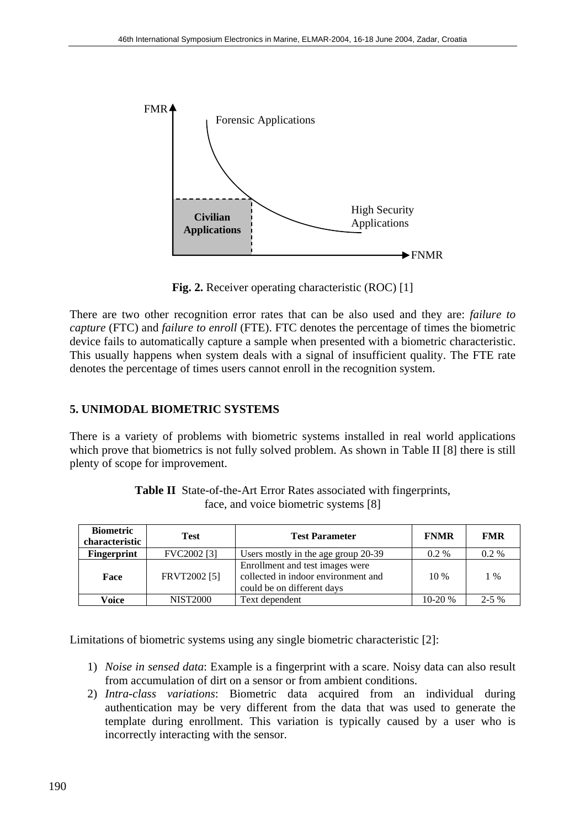

**Fig. 2.** Receiver operating characteristic (ROC) [1]

There are two other recognition error rates that can be also used and they are: *failure to capture* (FTC) and *failure to enroll* (FTE). FTC denotes the percentage of times the biometric device fails to automatically capture a sample when presented with a biometric characteristic. This usually happens when system deals with a signal of insufficient quality. The FTE rate denotes the percentage of times users cannot enroll in the recognition system.

### **5. UNIMODAL BIOMETRIC SYSTEMS**

There is a variety of problems with biometric systems installed in real world applications which prove that biometrics is not fully solved problem. As shown in Table II [8] there is still plenty of scope for improvement.

| <b>Biometric</b><br>characteristic | <b>Test</b>            | <b>Test Parameter</b>                                                                                | <b>FNMR</b> | <b>FMR</b> |
|------------------------------------|------------------------|------------------------------------------------------------------------------------------------------|-------------|------------|
| Fingerprint                        | FVC2002 <sup>[3]</sup> | Users mostly in the age group 20-39                                                                  | $0.2\%$     | $0.2\%$    |
| Face                               | FRVT2002 [5]           | Enrollment and test images were<br>collected in indoor environment and<br>could be on different days | $10\%$      | $1\%$      |
| Voice                              | <b>NIST2000</b>        | Text dependent                                                                                       | $10-20%$    | $2 - 5\%$  |

**Table II** State-of-the-Art Error Rates associated with fingerprints, face, and voice biometric systems [8]

Limitations of biometric systems using any single biometric characteristic [2]:

- 1) *Noise in sensed data*: Example is a fingerprint with a scare. Noisy data can also result from accumulation of dirt on a sensor or from ambient conditions.
- 2) *Intra-class variations*: Biometric data acquired from an individual during authentication may be very different from the data that was used to generate the template during enrollment. This variation is typically caused by a user who is incorrectly interacting with the sensor.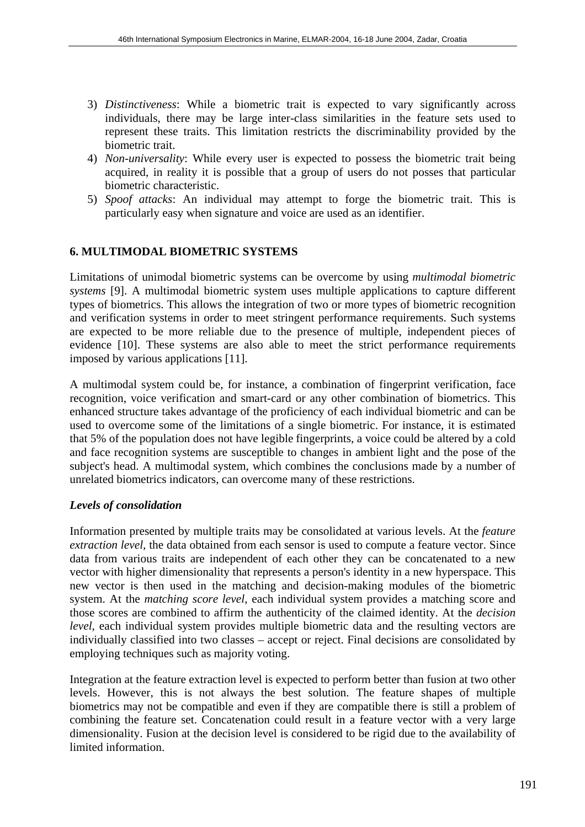- 3) *Distinctiveness*: While a biometric trait is expected to vary significantly across individuals, there may be large inter-class similarities in the feature sets used to represent these traits. This limitation restricts the discriminability provided by the biometric trait.
- 4) *Non-universality*: While every user is expected to possess the biometric trait being acquired, in reality it is possible that a group of users do not posses that particular biometric characteristic.
- 5) *Spoof attacks*: An individual may attempt to forge the biometric trait. This is particularly easy when signature and voice are used as an identifier.

#### **6. MULTIMODAL BIOMETRIC SYSTEMS**

Limitations of unimodal biometric systems can be overcome by using *multimodal biometric systems* [9]. A multimodal biometric system uses multiple applications to capture different types of biometrics. This allows the integration of two or more types of biometric recognition and verification systems in order to meet stringent performance requirements. Such systems are expected to be more reliable due to the presence of multiple, independent pieces of evidence [10]. These systems are also able to meet the strict performance requirements imposed by various applications [11].

A multimodal system could be, for instance, a combination of fingerprint verification, face recognition, voice verification and smart-card or any other combination of biometrics. This enhanced structure takes advantage of the proficiency of each individual biometric and can be used to overcome some of the limitations of a single biometric. For instance, it is estimated that 5% of the population does not have legible fingerprints, a voice could be altered by a cold and face recognition systems are susceptible to changes in ambient light and the pose of the subject's head. A multimodal system, which combines the conclusions made by a number of unrelated biometrics indicators, can overcome many of these restrictions.

#### *Levels of consolidation*

Information presented by multiple traits may be consolidated at various levels. At the *feature extraction level,* the data obtained from each sensor is used to compute a feature vector. Since data from various traits are independent of each other they can be concatenated to a new vector with higher dimensionality that represents a person's identity in a new hyperspace. This new vector is then used in the matching and decision-making modules of the biometric system. At the *matching score level*, each individual system provides a matching score and those scores are combined to affirm the authenticity of the claimed identity. At the *decision level*, each individual system provides multiple biometric data and the resulting vectors are individually classified into two classes – accept or reject. Final decisions are consolidated by employing techniques such as majority voting.

Integration at the feature extraction level is expected to perform better than fusion at two other levels. However, this is not always the best solution. The feature shapes of multiple biometrics may not be compatible and even if they are compatible there is still a problem of combining the feature set. Concatenation could result in a feature vector with a very large dimensionality. Fusion at the decision level is considered to be rigid due to the availability of limited information.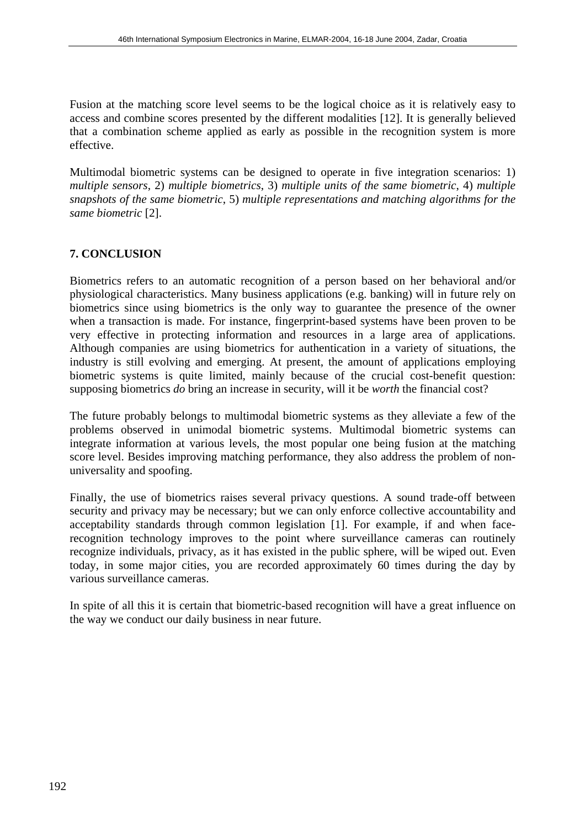Fusion at the matching score level seems to be the logical choice as it is relatively easy to access and combine scores presented by the different modalities [12]. It is generally believed that a combination scheme applied as early as possible in the recognition system is more effective.

Multimodal biometric systems can be designed to operate in five integration scenarios: 1) *multiple sensors*, 2) *multiple biometrics*, 3) *multiple units of the same biometric*, 4) *multiple snapshots of the same biometric*, 5) *multiple representations and matching algorithms for the same biometric* [2].

#### **7. CONCLUSION**

Biometrics refers to an automatic recognition of a person based on her behavioral and/or physiological characteristics. Many business applications (e.g. banking) will in future rely on biometrics since using biometrics is the only way to guarantee the presence of the owner when a transaction is made. For instance, fingerprint-based systems have been proven to be very effective in protecting information and resources in a large area of applications. Although companies are using biometrics for authentication in a variety of situations, the industry is still evolving and emerging. At present, the amount of applications employing biometric systems is quite limited, mainly because of the crucial cost-benefit question: supposing biometrics *do* bring an increase in security, will it be *worth* the financial cost?

The future probably belongs to multimodal biometric systems as they alleviate a few of the problems observed in unimodal biometric systems. Multimodal biometric systems can integrate information at various levels, the most popular one being fusion at the matching score level. Besides improving matching performance, they also address the problem of nonuniversality and spoofing.

Finally, the use of biometrics raises several privacy questions. A sound trade-off between security and privacy may be necessary; but we can only enforce collective accountability and acceptability standards through common legislation [1]. For example, if and when facerecognition technology improves to the point where surveillance cameras can routinely recognize individuals, privacy, as it has existed in the public sphere, will be wiped out. Even today, in some major cities, you are recorded approximately 60 times during the day by various surveillance cameras.

In spite of all this it is certain that biometric-based recognition will have a great influence on the way we conduct our daily business in near future.